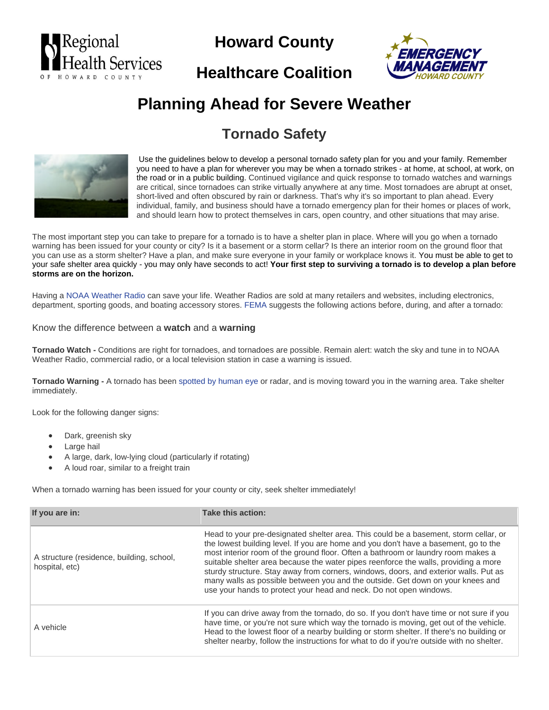

# **Howard County**





# **Planning Ahead for Severe Weather**

## **Tornado Safety**



Use the guidelines below to develop a personal tornado safety plan for you and your family. Remember you need to have a plan for wherever you may be when a tornado strikes - at home, at school, at work, on the road or in a public building. Continued vigilance and quick response to tornado watches and warnings are critical, since tornadoes can strike virtually anywhere at any time. Most tornadoes are abrupt at onset, short-lived and often obscured by rain or darkness. That's why it's so important to plan ahead. Every individual, family, and business should have a tornado emergency plan for their homes or places of work, and should learn how to protect themselves in cars, open country, and other situations that may arise.

The most important step you can take to prepare for a tornado is to have a shelter plan in place. Where will you go when a tornado warning has been issued for your county or city? Is it a basement or a storm cellar? Is there an interior room on the ground floor that you can use as a storm shelter? Have a plan, and make sure everyone in your family or workplace knows it. You must be able to get to your safe shelter area quickly - you may only have seconds to act! **Your first step to surviving a tornado is to develop a plan before storms are on the horizon.**

Having a [NOAA Weather Radio](http://www.weather.gov/nwr/) can save your life. Weather Radios are sold at many retailers and websites, including electronics, department, sporting goods, and boating accessory stores[. FEMA](http://www.fema.gov/hazard/tornado/index.shtm) suggests the following actions before, during, and after a tornado:

#### Know the difference between a **watch** and a **warning**

**Tornado Watch -** Conditions are right for tornadoes, and tornadoes are possible. Remain alert: watch the sky and tune in to NOAA Weather Radio, commercial radio, or a local television station in case a warning is issued.

**Tornado Warning -** A tornado has bee[n spotted by human eye](http://skywarn.org/) or radar, and is moving toward you in the warning area. Take shelter immediately.

Look for the following danger signs:

- Dark, greenish sky
- Large hail
- A large, dark, low-lying cloud (particularly if rotating)
- A loud roar, similar to a freight train

When a tornado warning has been issued for your county or city, seek shelter immediately!

| If you are in:                                              | Take this action:                                                                                                                                                                                                                                                                                                                                                                                                                                                                                                                                                                                      |  |
|-------------------------------------------------------------|--------------------------------------------------------------------------------------------------------------------------------------------------------------------------------------------------------------------------------------------------------------------------------------------------------------------------------------------------------------------------------------------------------------------------------------------------------------------------------------------------------------------------------------------------------------------------------------------------------|--|
| A structure (residence, building, school,<br>hospital, etc) | Head to your pre-designated shelter area. This could be a basement, storm cellar, or<br>the lowest building level. If you are home and you don't have a basement, go to the<br>most interior room of the ground floor. Often a bathroom or laundry room makes a<br>suitable shelter area because the water pipes reenforce the walls, providing a more<br>sturdy structure. Stay away from corners, windows, doors, and exterior walls. Put as<br>many walls as possible between you and the outside. Get down on your knees and<br>use your hands to protect your head and neck. Do not open windows. |  |
| A vehicle                                                   | If you can drive away from the tornado, do so. If you don't have time or not sure if you<br>have time, or you're not sure which way the tornado is moving, get out of the vehicle.<br>Head to the lowest floor of a nearby building or storm shelter. If there's no building or<br>shelter nearby, follow the instructions for what to do if you're outside with no shelter.                                                                                                                                                                                                                           |  |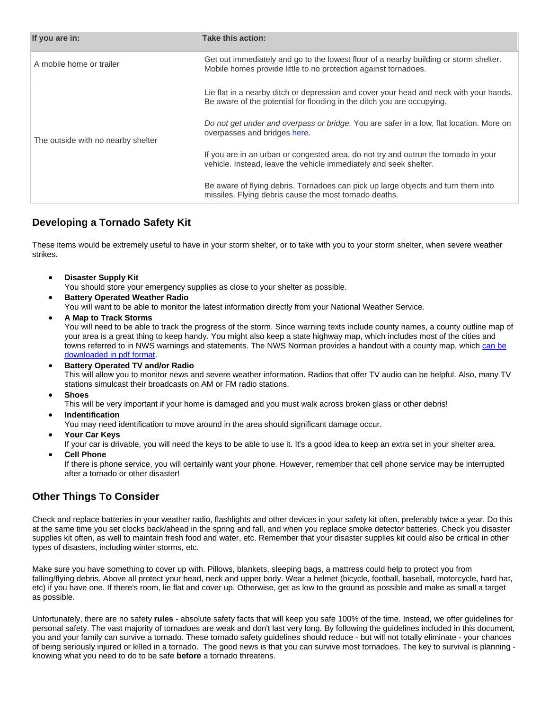| If you are in:                     | Take this action:                                                                                                                                                |  |
|------------------------------------|------------------------------------------------------------------------------------------------------------------------------------------------------------------|--|
| A mobile home or trailer           | Get out immediately and go to the lowest floor of a nearby building or storm shelter.<br>Mobile homes provide little to no protection against tornadoes.         |  |
| The outside with no nearby shelter | Lie flat in a nearby ditch or depression and cover your head and neck with your hands.<br>Be aware of the potential for flooding in the ditch you are occupying. |  |
|                                    | Do not get under and overpass or bridge. You are safer in a low, flat location. More on<br>overpasses and bridges here.                                          |  |
|                                    | If you are in an urban or congested area, do not try and outrun the tornado in your<br>vehicle. Instead, leave the vehicle immediately and seek shelter.         |  |
|                                    | Be aware of flying debris. Tornadoes can pick up large objects and turn them into<br>missiles. Flying debris cause the most tornado deaths.                      |  |

### **Developing a Tornado Safety Kit**

These items would be extremely useful to have in your storm shelter, or to take with you to your storm shelter, when severe weather strikes.

• **Disaster Supply Kit**

You should store your emergency supplies as close to your shelter as possible.

- **Battery Operated Weather Radio** You will want to be able to monitor the latest information directly from your National Weather Service.
- **A Map to Track Storms**

You will need to be able to track the progress of the storm. Since warning texts include county names, a county outline map of your area is a great thing to keep handy. You might also keep a state highway map, which includes most of the cities and towns referred to in NWS warnings and statements. The NWS Norman provides a handout with a county map, which [can be](http://www.srh.noaa.gov/images/oun/spotter/safetyhandout.pdf)  [downloaded in pdf format.](http://www.srh.noaa.gov/images/oun/spotter/safetyhandout.pdf)

• **Battery Operated TV and/or Radio** This will allow you to monitor news and severe weather information. Radios that offer TV audio can be helpful. Also, many TV stations simulcast their broadcasts on AM or FM radio stations.

• **Shoes**

This will be very important if your home is damaged and you must walk across broken glass or other debris!

• **Indentification**

You may need identification to move around in the area should significant damage occur.

• **Your Car Keys**

If your car is drivable, you will need the keys to be able to use it. It's a good idea to keep an extra set in your shelter area.

• **Cell Phone**

If there is phone service, you will certainly want your phone. However, remember that cell phone service may be interrupted after a tornado or other disaster!

### **Other Things To Consider**

Check and replace batteries in your weather radio, flashlights and other devices in your safety kit often, preferably twice a year. Do this at the same time you set clocks back/ahead in the spring and fall, and when you replace smoke detector batteries. Check you disaster supplies kit often, as well to maintain fresh food and water, etc. Remember that your disaster supplies kit could also be critical in other types of disasters, including winter storms, etc.

Make sure you have something to cover up with. Pillows, blankets, sleeping bags, a mattress could help to protect you from falling/flying debris. Above all protect your head, neck and upper body. Wear a helmet (bicycle, football, baseball, motorcycle, hard hat, etc) if you have one. If there's room, lie flat and cover up. Otherwise, get as low to the ground as possible and make as small a target as possible.

Unfortunately, there are no safety **rules** - absolute safety facts that will keep you safe 100% of the time. Instead, we offer guidelines for personal safety. The vast majority of tornadoes are weak and don't last very long. By following the guidelines included in this document, you and your family can survive a tornado. These tornado safety guidelines should reduce - but will not totally eliminate - your chances of being seriously injured or killed in a tornado. The good news is that you can survive most tornadoes. The key to survival is planning knowing what you need to do to be safe **before** a tornado threatens.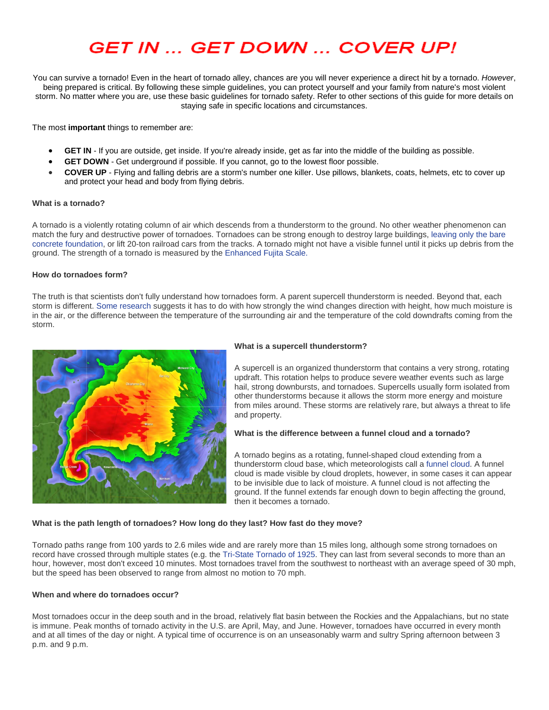# **GET IN ... GET DOWN ... COVER UP!**

You can survive a tornado! Even in the heart of tornado alley, chances are you will never experience a direct hit by a tornado. *However*, being prepared is critical. By following these simple guidelines, you can protect yourself and your family from nature's most violent storm. No matter where you are, use these basic guidelines for tornado safety. Refer to other sections of this guide for more details on staying safe in specific locations and circumstances.

The most **important** things to remember are:

- **GET IN** If you are outside, get inside. If you're already inside, get as far into the middle of the building as possible.
- **GET DOWN** Get underground if possible. If you cannot, go to the lowest floor possible.
- **COVER UP** Flying and falling debris are a storm's number one killer. Use pillows, blankets, coats, helmets, etc to cover up and protect your head and body from flying debris.

#### **What is a tornado?**

A tornado is a violently rotating column of air which descends from a thunderstorm to the ground. No other weather phenomenon can match the fury and destructive power of tornadoes. Tornadoes can be strong enough to destroy large buildings, [leaving only the bare](http://www.srh.noaa.gov/images/oun/wxevents/19990503/damage/mb990116.jpg)  [concrete foundation,](http://www.srh.noaa.gov/images/oun/wxevents/19990503/damage/mb990116.jpg) or lift 20-ton railroad cars from the tracks. A tornado might not have a visible funnel until it picks up debris from the ground. The strength of a tornado is measured by the [Enhanced Fujita Scale.](http://www.wunderground.com/resources/severe/fujita_scale.asp)

#### **How do tornadoes form?**

The truth is that scientists don't fully understand how tornadoes form. A parent supercell thunderstorm is needed. Beyond that, each storm is different[. Some research](http://www.spc.noaa.gov/faq/tornado/references.html) suggests it has to do with how strongly the wind changes direction with height, how much moisture is in the air, or the difference between the temperature of the surrounding air and the temperature of the cold downdrafts coming from the storm.



#### **What is a supercell thunderstorm?**

A supercell is an organized thunderstorm that contains a very strong, rotating updraft. This rotation helps to produce severe weather events such as large hail, strong downbursts, and tornadoes. Supercells usually form isolated from other thunderstorms because it allows the storm more energy and moisture from miles around. These storms are relatively rare, but always a threat to life and property.

#### **What is the difference between a funnel cloud and a tornado?**

A tornado begins as a rotating, funnel-shaped cloud extending from a thunderstorm cloud base, which meteorologists call [a funnel cloud.](http://c.photoshelter.com/img-get/I0000u933vHH4kXE/s/850/850/vortex-2-goshen-county-funnel-cloud-lowering.jpg) A funnel cloud is made visible by cloud droplets, however, in some cases it can appear to be invisible due to lack of moisture. A funnel cloud is not affecting the ground. If the funnel extends far enough down to begin affecting the ground, then it becomes a tornado.

#### **What is the path length of tornadoes? How long do they last? How fast do they move?**

Tornado paths range from 100 yards to 2.6 miles wide and are rarely more than 15 miles long, although some strong tornadoes on record have crossed through multiple states (e.g. th[e Tri-State Tornado of 1925.](http://en.wikipedia.org/wiki/Tri-State_Tornado) They can last from several seconds to more than an hour, however, most don't exceed 10 minutes. Most tornadoes travel from the southwest to northeast with an average speed of 30 mph, but the speed has been observed to range from almost no motion to 70 mph.

#### **When and where do tornadoes occur?**

Most tornadoes occur in the deep south and in the broad, relatively flat basin between the Rockies and the Appalachians, but no state is immune. Peak months of tornado activity in the U.S. are April, May, and June. However, tornadoes have occurred in every month and at all times of the day or night. A typical time of occurrence is on an unseasonably warm and sultry Spring afternoon between 3 p.m. and 9 p.m.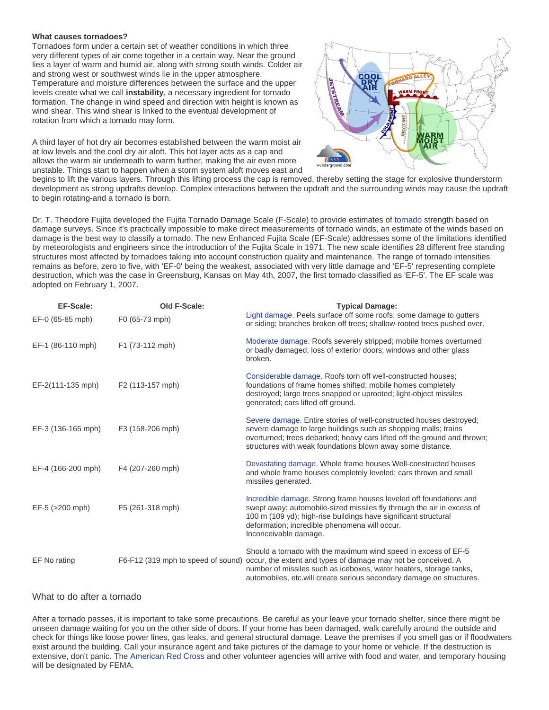#### **What causes tornadoes?**

Tornadoes form under a certain set of weather conditions in which three very different types of air come together in a certain way. Near the ground lies a layer of warm and humid air, along with strong south winds. Colder air and strong west or southwest winds lie in the upper atmosphere. Temperature and moisture differences between the surface and the upper levels create what we call **instability**, a necessary ingredient for tornado formation. The change in wind speed and direction with height is known as wind shear. This wind shear is linked to the eventual development of rotation from which a tornado may form.

JETSTREAM

A third layer of hot dry air becomes established between the warm moist air at low levels and the cool dry air aloft. This hot layer acts as a cap and allows the warm air underneath to warm further, making the air even more unstable. Things start to happen when a storm system aloft moves east and

begins to lift the various layers. Through this lifting process the cap is removed, thereby setting the stage for explosive thunderstorm development as strong updrafts develop. Complex interactions between the updraft and the surrounding winds may cause the updraft to begin rotating-and a tornado is born.

Dr. T. Theodore Fujita developed the Fujita Tornado Damage Scale (F-Scale) to provide estimates of [tornado](http://www.wunderground.com/resources/severe/tornadoFAQ.asp) strength based on damage surveys. Since it's practically impossible to make direct measurements of tornado winds, an estimate of the winds based on damage is the best way to classify a tornado. The new Enhanced Fujita Scale (EF-Scale) addresses some of the limitations identified by meteorologists and engineers since the introduction of the Fujita Scale in 1971. The new scale identifies 28 different free standing structures most affected by tornadoes taking into account construction quality and maintenance. The range of tornado intensities remains as before, zero to five, with 'EF-0' being the weakest, associated with very little damage and 'EF-5' representing complete destruction, which was the case in Greensburg, Kansas on May 4th, 2007, the first tornado classified as 'EF-5'. The EF scale was adopted on February 1, 2007.

| <b>EF-Scale:</b><br>EF-0 (65-85 mph) | Old F-Scale:<br>F0 (65-73 mph)     | <b>Typical Damage:</b><br>Light damage. Peels surface off some roofs; some damage to gutters<br>or siding; branches broken off trees; shallow-rooted trees pushed over.                                                                                                                   |
|--------------------------------------|------------------------------------|-------------------------------------------------------------------------------------------------------------------------------------------------------------------------------------------------------------------------------------------------------------------------------------------|
| EF-1 (86-110 mph)                    | F1 (73-112 mph)                    | Moderate damage. Roofs severely stripped; mobile homes overturned<br>or badly damaged; loss of exterior doors; windows and other glass<br>broken.                                                                                                                                         |
| EF-2(111-135 mph)                    | F <sub>2</sub> (113-157 mph)       | Considerable damage. Roofs torn off well-constructed houses;<br>foundations of frame homes shifted; mobile homes completely<br>destroyed; large trees snapped or uprooted; light-object missiles<br>generated; cars lifted off ground.                                                    |
| EF-3 (136-165 mph)                   | F3 (158-206 mph)                   | Severe damage. Entire stories of well-constructed houses destroyed;<br>severe damage to large buildings such as shopping malls; trains<br>overturned; trees debarked; heavy cars lifted off the ground and thrown;<br>structures with weak foundations blown away some distance.          |
| EF-4 (166-200 mph)                   | F4 (207-260 mph)                   | Devastating damage. Whole frame houses Well-constructed houses<br>and whole frame houses completely leveled; cars thrown and small<br>missiles generated.                                                                                                                                 |
| EF-5 (>200 mph)                      | F5 (261-318 mph)                   | Incredible damage. Strong frame houses leveled off foundations and<br>swept away; automobile-sized missiles fly through the air in excess of<br>100 m (109 yd); high-rise buildings have significant structural<br>deformation; incredible phenomena will occur.<br>Inconceivable damage. |
| EF No rating                         | F6-F12 (319 mph to speed of sound) | Should a tornado with the maximum wind speed in excess of EF-5<br>occur, the extent and types of damage may not be conceived. A<br>number of missiles such as iceboxes, water heaters, storage tanks,<br>automobiles, etc. will create serious secondary damage on structures.            |

#### What to do after a tornado

After a tornado passes, it is important to take some precautions. Be careful as your leave your tornado shelter, since there might be unseen damage waiting for you on the other side of doors. If your home has been damaged, walk carefully around the outside and check for things like loose power lines, gas leaks, and general structural damage. Leave the premises if you smell gas or if floodwaters exist around the building. Call your insurance agent and take pictures of the damage to your home or vehicle. If the destruction is extensive, don't panic. The [American Red Cross](http://www.redcross.org/) and other volunteer agencies will arrive with food and water, and temporary housing will be designated by FEMA.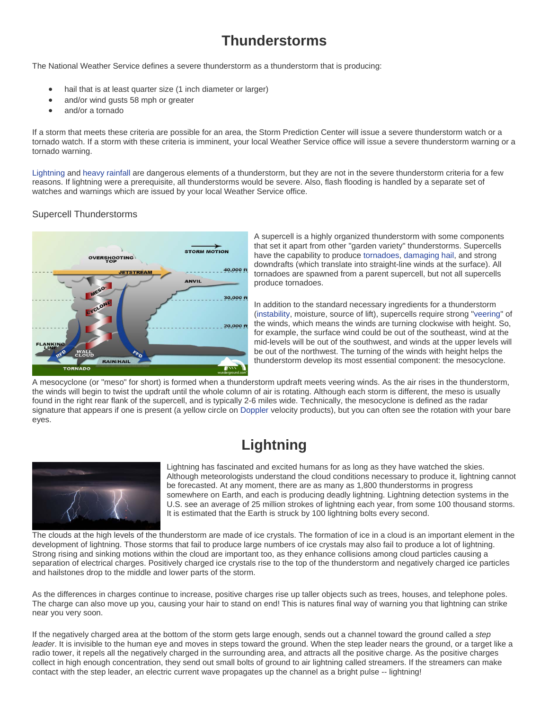### **Thunderstorms**

The National Weather Service defines a severe thunderstorm as a thunderstorm that is producing:

- hail that is at least quarter size (1 inch diameter or larger)
- and/or wind gusts 58 mph or greater
- and/or a tornado

If a storm that meets these criteria are possible for an area, the Storm Prediction Center will issue a severe thunderstorm watch or a tornado watch. If a storm with these criteria is imminent, your local Weather Service office will issue a severe thunderstorm warning or a tornado warning.

[Lightning](http://www.wunderground.com/resources/severe/lightning.asp) an[d heavy rainfall](http://www.wunderground.com/resources/severe/flood.asp) are dangerous elements of a thunderstorm, but they are not in the severe thunderstorm criteria for a few reasons. If lightning were a prerequisite, all thunderstorms would be severe. Also, flash flooding is handled by a separate set of watches and warnings which are issued by your local Weather Service office.

#### Supercell Thunderstorms



A supercell is a highly organized thunderstorm with some components that set it apart from other "garden variety" thunderstorms. Supercells have the capability to produce [tornadoes,](http://www.wunderground.com/resources/severe/tornadoFAQ.asp) [damaging hail,](http://www.wunderground.com/resources/severe/hail.asp) and strong downdrafts (which translate into straight-line winds at the surface). All tornadoes are spawned from a parent supercell, but not all supercells produce tornadoes.

In addition to the standard necessary ingredients for a thunderstorm [\(instability,](http://www.wunderground.com/resources/severe/severe_glossary.asp%23I) moisture, source of lift), supercells require strong ["veering"](http://www.wunderground.com/resources/severe/severe_glossary.asp%23V) of the winds, which means the winds are turning clockwise with height. So, for example, the surface wind could be out of the southeast, wind at the mid-levels will be out of the southwest, and winds at the upper levels will be out of the northwest. The turning of the winds with height helps the thunderstorm develop its most essential component: the mesocyclone.

A mesocyclone (or "meso" for short) is formed when a thunderstorm updraft meets veering winds. As the air rises in the thunderstorm, the winds will begin to twist the updraft until the whole column of air is rotating. Although each storm is different, the meso is usually found in the right rear flank of the supercell, and is typically 2-6 miles wide. Technically, the mesocyclone is defined as the radar signature that appears if one is present (a yellow circle on [Doppler](http://www.wunderground.com/resources/severe/severe_glossary.asp%23D) velocity products), but you can often see the rotation with your bare eyes.

## **Lightning**



Lightning has fascinated and excited humans for as long as they have watched the skies. Although meteorologists understand the cloud conditions necessary to produce it, lightning cannot be forecasted. At any moment, there are as many as 1,800 thunderstorms in progress somewhere on Earth, and each is producing deadly lightning. Lightning detection systems in the U.S. see an average of 25 million strokes of lightning each year, from some 100 thousand storms. It is estimated that the Earth is struck by 100 lightning bolts every second.

The clouds at the high levels of the thunderstorm are made of ice crystals. The formation of ice in a cloud is an important element in the development of lightning. Those storms that fail to produce large numbers of ice crystals may also fail to produce a lot of lightning. Strong rising and sinking motions within the cloud are important too, as they enhance collisions among cloud particles causing a separation of electrical charges. Positively charged ice crystals rise to the top of the thunderstorm and negatively charged ice particles and hailstones drop to the middle and lower parts of the storm.

As the differences in charges continue to increase, positive charges rise up taller objects such as trees, houses, and telephone poles. The charge can also move up you, causing your hair to stand on end! This is natures final way of warning you that lightning can strike near you very soon.

If the negatively charged area at the bottom of the storm gets large enough, sends out a channel toward the ground called a *step leader*. It is invisible to the human eye and moves in steps toward the ground. When the step leader nears the ground, or a target like a radio tower, it repels all the negatively charged in the surrounding area, and attracts all the positive charge. As the positive charges collect in high enough concentration, they send out small bolts of ground to air lightning called streamers. If the streamers can make contact with the step leader, an electric current wave propagates up the channel as a bright pulse -- lightning!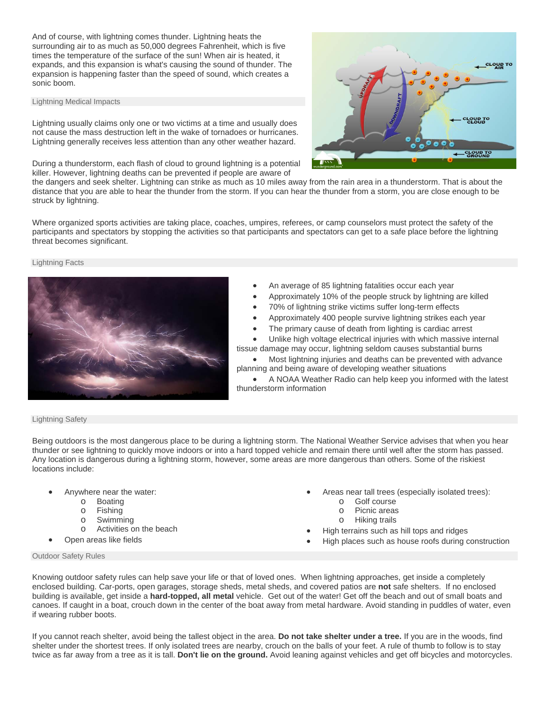And of course, with lightning comes thunder. Lightning heats the surrounding air to as much as 50,000 degrees Fahrenheit, which is five times the temperature of the surface of the sun! When air is heated, it expands, and this expansion is what's causing the sound of thunder. The expansion is happening faster than the speed of sound, which creates a sonic boom.

#### Lightning Medical Impacts

Lightning usually claims only one or two victims at a time and usually does not cause the mass destruction left in the wake of tornadoes or hurricanes. Lightning generally receives less attention than any other weather hazard.

During a thunderstorm, each flash of cloud to ground lightning is a potential killer. However, lightning deaths can be prevented if people are aware of



the dangers and seek shelter. Lightning can strike as much as 10 miles away from the rain area in a thunderstorm. That is about the distance that you are able to hear the thunder from the storm. If you can hear the thunder from a storm, you are close enough to be struck by lightning.

Where organized sports activities are taking place, coaches, umpires, referees, or camp counselors must protect the safety of the participants and spectators by stopping the activities so that participants and spectators can get to a safe place before the lightning threat becomes significant.

#### Lightning Facts



- An average of 85 lightning fatalities occur each year
- Approximately 10% of the people struck by lightning are killed
- 70% of lightning strike victims suffer long-term effects
- Approximately 400 people survive lightning strikes each year
- The primary cause of death from lighting is cardiac arrest

Unlike high voltage electrical injuries with which massive internal tissue damage may occur, lightning seldom causes substantial burns

• Most lightning injuries and deaths can be prevented with advance planning and being aware of developing weather situations

• A NOAA Weather Radio can help keep you informed with the latest thunderstorm information

#### Lightning Safety

Being outdoors is the most dangerous place to be during a lightning storm. The National Weather Service advises that when you hear thunder or see lightning to quickly move indoors or into a hard topped vehicle and remain there until well after the storm has passed. Any location is dangerous during a lightning storm, however, some areas are more dangerous than others. Some of the riskiest locations include:

- Anywhere near the water:
	-
	- o Boating<br>o Fishing
	- o Fishing<br>o Swimmi
	- o Swimming<br>o Activities o Activities on the beach
- Open areas like fields
- Areas near tall trees (especially isolated trees):
	- o Golf course
		- o Picnic areas<br>o Hiking trails
	- **Hiking trails**
- High terrains such as hill tops and ridges
- High places such as house roofs during construction

Outdoor Safety Rules

Knowing outdoor safety rules can help save your life or that of loved ones. When lightning approaches, get inside a completely enclosed building. Car-ports, open garages, storage sheds, metal sheds, and covered patios are **not** safe shelters. If no enclosed building is available, get inside a **hard-topped, all metal** vehicle. Get out of the water! Get off the beach and out of small boats and canoes. If caught in a boat, crouch down in the center of the boat away from metal hardware. Avoid standing in puddles of water, even if wearing rubber boots.

If you cannot reach shelter, avoid being the tallest object in the area. **Do not take shelter under a tree.** If you are in the woods, find shelter under the shortest trees. If only isolated trees are nearby, crouch on the balls of your feet. A rule of thumb to follow is to stay twice as far away from a tree as it is tall. **Don't lie on the ground.** Avoid leaning against vehicles and get off bicycles and motorcycles.